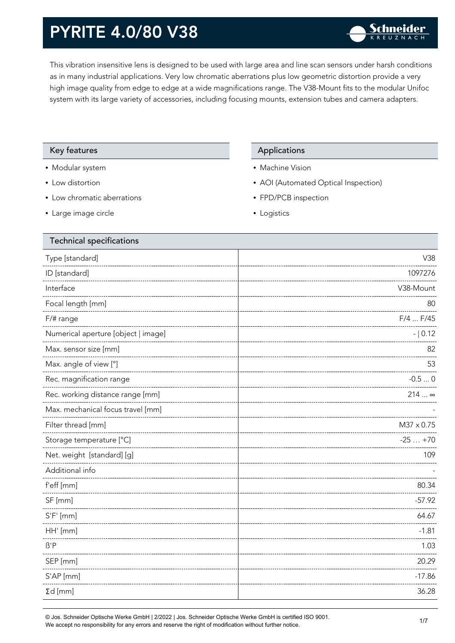This vibration insensitive lens is designed to be used with large area and line scan sensors under harsh conditions as in many industrial applications. Very low chromatic aberrations plus low geometric distortion provide a very high image quality from edge to edge at a wide magnifications range. The V38-Mount fits to the modular Unifoc system with its large variety of accessories, including focusing mounts, extension tubes and camera adapters.

#### Key features **Applications** Applications

- Modular system
- Low distortion
- Low chromatic aberrations
- Large image circle

- Machine Vision
- AOI (Automated Optical Inspection)
- FPD/PCB inspection
- Logistics

| V38        |
|------------|
| 1097276    |
| V38-Mount  |
| 80         |
| F/4  F/45  |
| $- 0.12$   |
| 82         |
| 53         |
| $-0.50$    |
| 214  ∞     |
|            |
| M37 x 0.75 |
| $-25+70$   |
| 109        |
|            |
| 80.34      |
| $-57.92$   |
| 64.67      |
| $-1.81$    |
| 1.03       |
| 20.29      |
| $-17.86$   |
| 36.28      |
|            |

© Jos. Schneider Optische Werke GmbH | 2/2022 | Jos. Schneider Optische Werke GmbH is certified ISO 9001.  $\bullet$  Jos. Schneider Opuscrie werke Grillon | Zizuzz | Jos. Schneider Opuscrie werke Grillon is certified iSO 9001.<br>We accept no responsibility for any errors and reserve the right of modification without further notice.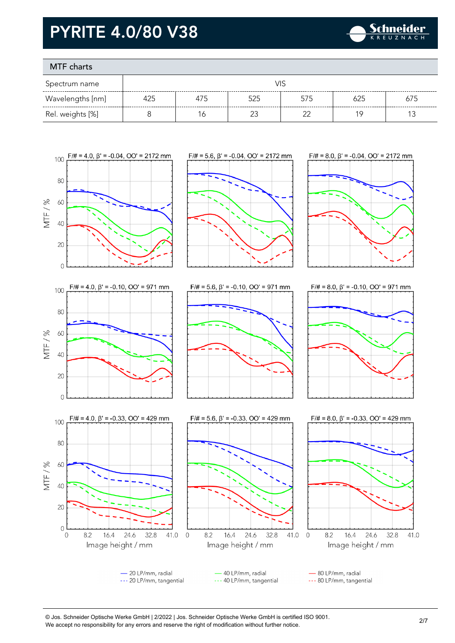

### MTF charts

| Spectrum name    |     |     |     |     |     |     |
|------------------|-----|-----|-----|-----|-----|-----|
| Wavelengths [nm] | 425 | 475 | 525 | 575 | 625 | 675 |
| Rel. weights [%] |     |     |     | ົ   |     |     |









- 80 LP/mm, radial --- 80 LP/mm, tangential

#### © Jos. Schneider Optische Werke GmbH | 2/2022 | Jos. Schneider Optische Werke GmbH is certified ISO 9001. We accept no responsibility for any errors and reserve the right of modification without further notice.<br>We accept no responsibility for any errors and reserve the right of modification without further notice.

Image height / mm

40 LP/mm, radial

--- 40 LP/mm, tangential

Image height / mm

- 20 LP/mm, radial

--- 20 LP/mm, tangential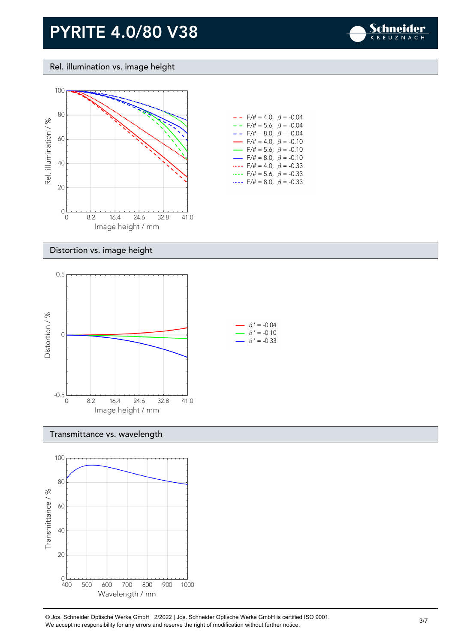

#### Rel. illumination vs. image height



| - -                      | $F/\ddot{=} = 4.0, \ \beta = -0.04$     |  |
|--------------------------|-----------------------------------------|--|
| - - -                    | $F/\ddot{\pi} = 5.6$ , $\beta = -0.04$  |  |
| - -                      | $F/\ddot{=} = 8.0, \ \beta = -0.04$     |  |
| $\overline{\phantom{0}}$ | $F/\ddot{=} = 4.0, \ \beta = -0.10$     |  |
| $\overline{\phantom{0}}$ | $F/\ddot{\pi} = 5.6, \ \ \beta = -0.10$ |  |
| $\sim$                   | $F/\ddot{}= 8.0, \; \beta = -0.10$      |  |
|                          | $F/\ddot{=} = 4.0, \ \beta = -0.33$     |  |
|                          | $F/\ddot{\pi} = 5.6, \ \ \beta = -0.33$ |  |
|                          | $F/\ddot{=} = 8.0, \ \beta = -0.33$     |  |

#### Distortion vs. image height



#### Transmittance vs. wavelength



© Jos. Schneider Optische Werke GmbH | 2/2022 | Jos. Schneider Optische Werke GmbH is certified ISO 9001.  $\degree$  Jos. Scrinelder Opuscrie werke Grildri | 2/2022 | Jos. Scrinelder Opuscrie werke Grildri is certuled ISO 9001.<br>We accept no responsibility for any errors and reserve the right of modification without further notice.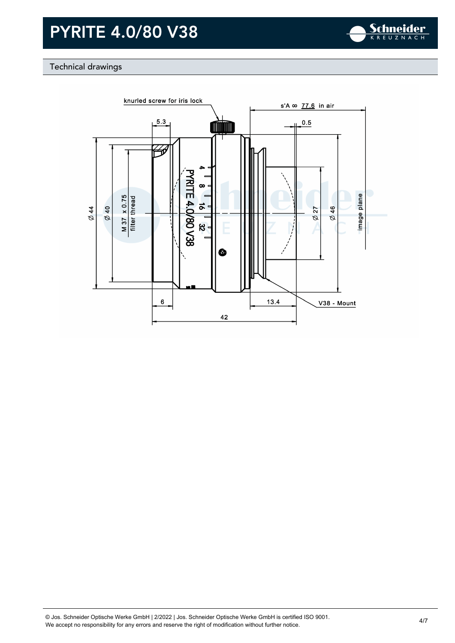

### Technical drawings

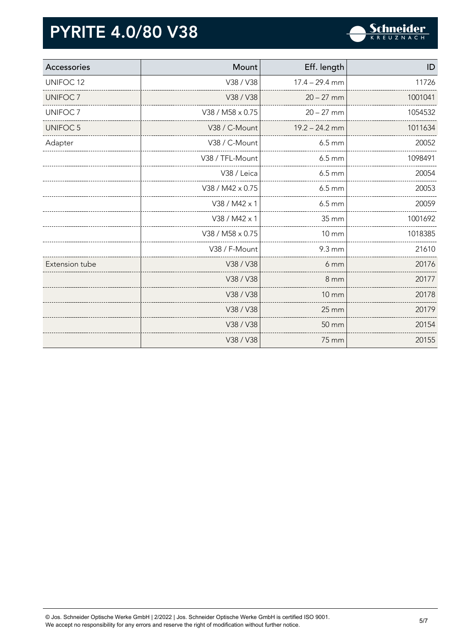

| Accessories          | Mount            | Eff. length        | ID      |
|----------------------|------------------|--------------------|---------|
| UNIFOC <sub>12</sub> | V38 / V38        | $17.4 - 29.4$ mm   | 11726   |
| UNIFOC <sub>7</sub>  | V38 / V38        | $20 - 27$ mm       | 1001041 |
| UNIFOC <sub>7</sub>  | V38 / M58 x 0.75 | $20 - 27$ mm       | 1054532 |
| UNIFOC <sub>5</sub>  | V38 / C-Mount    | $19.2 - 24.2$ mm   | 1011634 |
| Adapter              | V38 / C-Mount    | $6.5 \, \text{mm}$ | 20052   |
|                      | V38 / TFL-Mount  | $6.5 \, \text{mm}$ | 1098491 |
|                      | V38 / Leica      | $6.5 \, \text{mm}$ | 20054   |
|                      | V38 / M42 x 0.75 | $6.5 \, \text{mm}$ | 20053   |
|                      | V38 / M42 x 1    | $6.5 \, \text{mm}$ | 20059   |
|                      | V38 / M42 x 1    | 35 mm              | 1001692 |
|                      | V38 / M58 x 0.75 | <b>10 mm</b>       | 1018385 |
|                      | V38 / F-Mount    | 9.3 mm             | 21610   |
| Extension tube       | V38 / V38        | 6 mm               | 20176   |
|                      | V38 / V38        | 8 mm               | 20177   |
|                      | V38 / V38        | <b>10 mm</b>       | 20178   |
|                      | V38 / V38        | 25 mm              | 20179   |
|                      | V38 / V38        | 50 mm              | 20154   |
|                      | V38 / V38        | 75 mm              | 20155   |